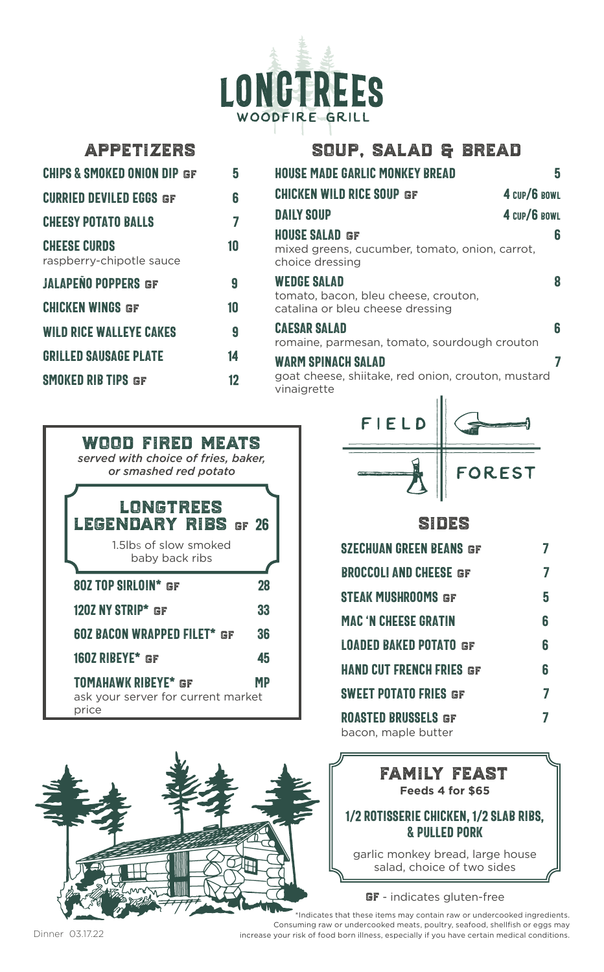

| <b>APPETIZERS</b>                               |                | SOUP, SALAD & BREAD                                                                                      |   |
|-------------------------------------------------|----------------|----------------------------------------------------------------------------------------------------------|---|
| <b>CHIPS &amp; SMOKED ONION DIP GF</b>          | 5              | <b>HOUSE MADE GARLIC MONKEY BREAD</b>                                                                    | 5 |
| <b>CURRIED DEVILED EGGS GF</b>                  | 6              | <b>CHICKEN WILD RICE SOUP GF</b><br>4 CUP/6 BOWL                                                         |   |
| <b>CHEESY POTATO BALLS</b>                      | 7              | <b>DAILY SOUP</b><br>4 CUP/6 BOWL                                                                        |   |
| <b>CHEESE CURDS</b><br>raspberry-chipotle sauce | 10             | <b>HOUSE SALAD GF</b><br>mixed greens, cucumber, tomato, onion, carrot,<br>choice dressing               | 6 |
| <b>JALAPEÑO POPPERS GF</b>                      | 9              | <b>WEDGE SALAD</b>                                                                                       | 8 |
| <b>CHICKEN WINGS GF</b>                         | 10             | tomato, bacon, bleu cheese, crouton,<br>catalina or bleu cheese dressing                                 |   |
| <b>WILD RICE WALLEYE CAKES</b>                  | $\overline{Q}$ | <b>CAESAR SALAD</b><br>romaine, parmesan, tomato, sourdough crouton                                      | 6 |
| <b>GRILLED SAUSAGE PLATE</b>                    | 14             | <b>WARM SPINACH SALAD</b>                                                                                |   |
| <b>SMOKED RIB TIPS GF</b>                       | 12             | goat cheese, shiitake, red onion, crouton, mustard<br>vinaigrette<br>the contract of the contract of the |   |





# FIELD OREST

### sides

| <b>SZECHUAN GREEN BEANS GF</b>                    |   |
|---------------------------------------------------|---|
| <b>BROCCOLI AND CHEESE GF</b>                     | 7 |
| STEAK MUSHROOMS GF                                | 5 |
| <b>MAC 'N CHEESE GRATIN</b>                       | 6 |
| <b>LOADED BAKED POTATO GF</b>                     | 6 |
| <b>HAND CUT FRENCH FRIES GF</b>                   | 6 |
| <b>SWEET POTATO FRIES GF</b>                      | 7 |
| <b>ROASTED BRUSSELS GF</b><br>bacon, maple butter | 7 |

## family feast **Feeds 4 for \$65**

#### 1/2 Rotisserie Chicken, 1/2 Slab Ribs, & Pulled Pork

garlic monkey bread, large house salad, choice of two sides

#### GF - indicates gluten-free

\*Indicates that these items may contain raw or undercooked ingredients. Consuming raw or undercooked meats, poultry, seafood, shellfish or eggs may increase your risk of food born illness, especially if you have certain medical conditions.